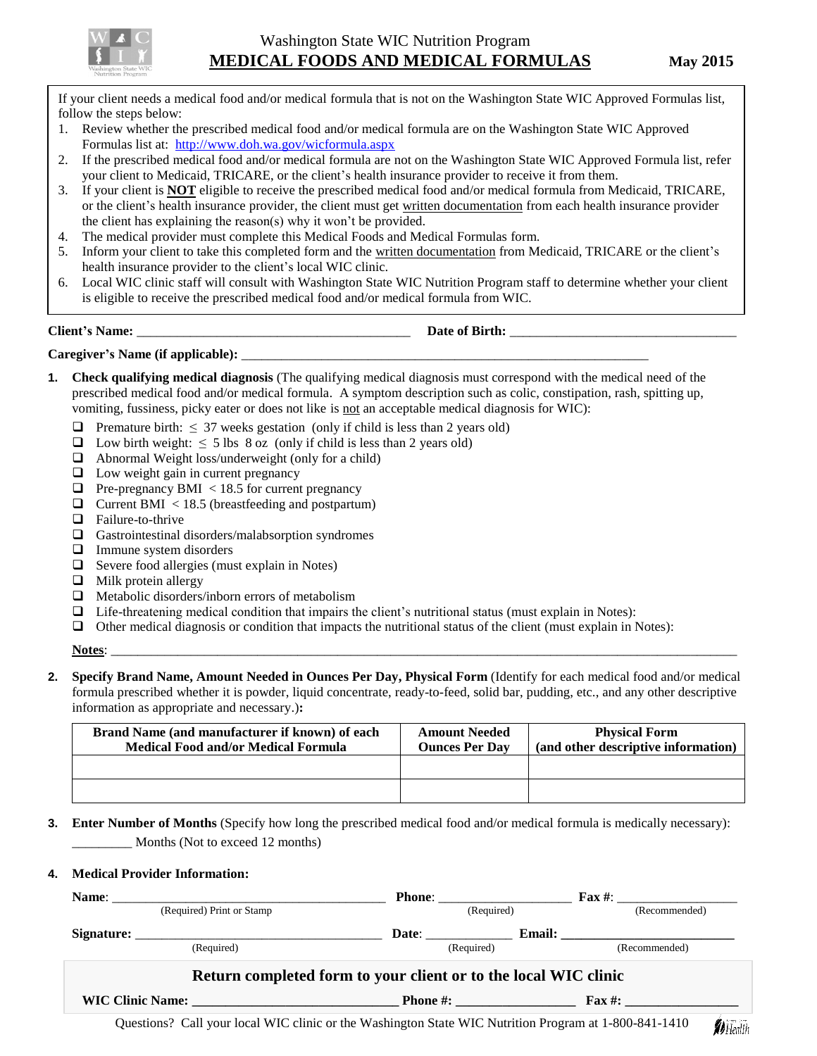

If your client needs a medical food and/or medical formula that is not on the Washington State WIC Approved Formulas list, follow the steps below:

- 1. Review whether the prescribed medical food and/or medical formula are on the Washington State WIC Approved Formulas list at: <http://www.doh.wa.gov/wicformula.aspx>
- 2. If the prescribed medical food and/or medical formula are not on the Washington State WIC Approved Formula list, refer your client to Medicaid, TRICARE, or the client's health insurance provider to receive it from them.
- 3. If your client is **NOT** eligible to receive the prescribed medical food and/or medical formula from Medicaid, TRICARE, or the client's health insurance provider, the client must get written documentation from each health insurance provider the client has explaining the reason(s) why it won't be provided.
- 4. The medical provider must complete this Medical Foods and Medical Formulas form.
- 5. Inform your client to take this completed form and the written documentation from Medicaid, TRICARE or the client's health insurance provider to the client's local WIC clinic.
- 6. Local WIC clinic staff will consult with Washington State WIC Nutrition Program staff to determine whether your client is eligible to receive the prescribed medical food and/or medical formula from WIC.

**Client's** Name:  $\qquad \qquad$  **Date of Birth:**  $\qquad \qquad$ 

## Caregiver's Name (if applicable):

- **1. Check qualifying medical diagnosis** (The qualifying medical diagnosis must correspond with the medical need of the prescribed medical food and/or medical formula. A symptom description such as colic, constipation, rash, spitting up, vomiting, fussiness, picky eater or does not like is not an acceptable medical diagnosis for WIC):
	- **Premature birth:**  $\leq$  37 weeks gestation (only if child is less than 2 years old)
	- $\Box$  Low birth weight:  $\leq$  5 lbs 8 oz (only if child is less than 2 years old)
	- $\Box$  Abnormal Weight loss/underweight (only for a child)
	- $\Box$  Low weight gain in current pregnancy
	- $\Box$  Pre-pregnancy BMI < 18.5 for current pregnancy
	- $\Box$  Current BMI < 18.5 (breastfeeding and postpartum)
	- $\Box$  Failure-to-thrive
	- $\Box$  Gastrointestinal disorders/malabsorption syndromes
	- Immune system disorders
	- $\Box$  Severe food allergies (must explain in Notes)
	- $\Box$  Milk protein allergy
	- $\Box$  Metabolic disorders/inborn errors of metabolism
	- $\Box$  Life-threatening medical condition that impairs the client's nutritional status (must explain in Notes):
	- $\Box$  Other medical diagnosis or condition that impacts the nutritional status of the client (must explain in Notes):

**Notes**: \_\_\_\_\_\_\_\_\_\_\_\_\_\_\_\_\_\_\_\_\_\_\_\_\_\_\_\_\_\_\_\_\_\_\_\_\_\_\_\_\_\_\_\_\_\_\_\_\_\_\_\_\_\_\_\_\_\_\_\_\_\_\_\_\_\_\_\_\_\_\_\_\_\_\_\_\_\_\_\_\_\_\_\_\_\_\_\_\_\_\_\_\_\_

**2. Specify Brand Name, Amount Needed in Ounces Per Day, Physical Form** (Identify for each medical food and/or medical formula prescribed whether it is powder, liquid concentrate, ready-to-feed, solid bar, pudding, etc., and any other descriptive information as appropriate and necessary.)**:**

| Brand Name (and manufacturer if known) of each<br><b>Medical Food and/or Medical Formula</b> | <b>Amount Needed</b><br><b>Ounces Per Day</b> | <b>Physical Form</b><br>(and other descriptive information) |
|----------------------------------------------------------------------------------------------|-----------------------------------------------|-------------------------------------------------------------|
|                                                                                              |                                               |                                                             |
|                                                                                              |                                               |                                                             |

**3. Enter Number of Months** (Specify how long the prescribed medical food and/or medical formula is medically necessary): Months (Not to exceed 12 months)

## **4. Medical Provider Information:**

| (Required) Print or Stamp |                                                                                                       |                                                                 |  | $\text{Fax}\#:\_$      |                        |
|---------------------------|-------------------------------------------------------------------------------------------------------|-----------------------------------------------------------------|--|------------------------|------------------------|
|                           |                                                                                                       | (Required)                                                      |  | (Recommended)          |                        |
|                           | Signature:                                                                                            |                                                                 |  | Date: Email: Email:    |                        |
|                           | (Required)                                                                                            | (Required)                                                      |  | (Recommended)          |                        |
|                           |                                                                                                       | Return completed form to your client or to the local WIC clinic |  |                        |                        |
|                           |                                                                                                       |                                                                 |  | $\text{Fax}\#:\square$ |                        |
|                           | Questions? Call your local WIC clinic or the Washington State WIC Nutrition Program at 1-800-841-1410 |                                                                 |  |                        | <b><i>A</i></b> Health |